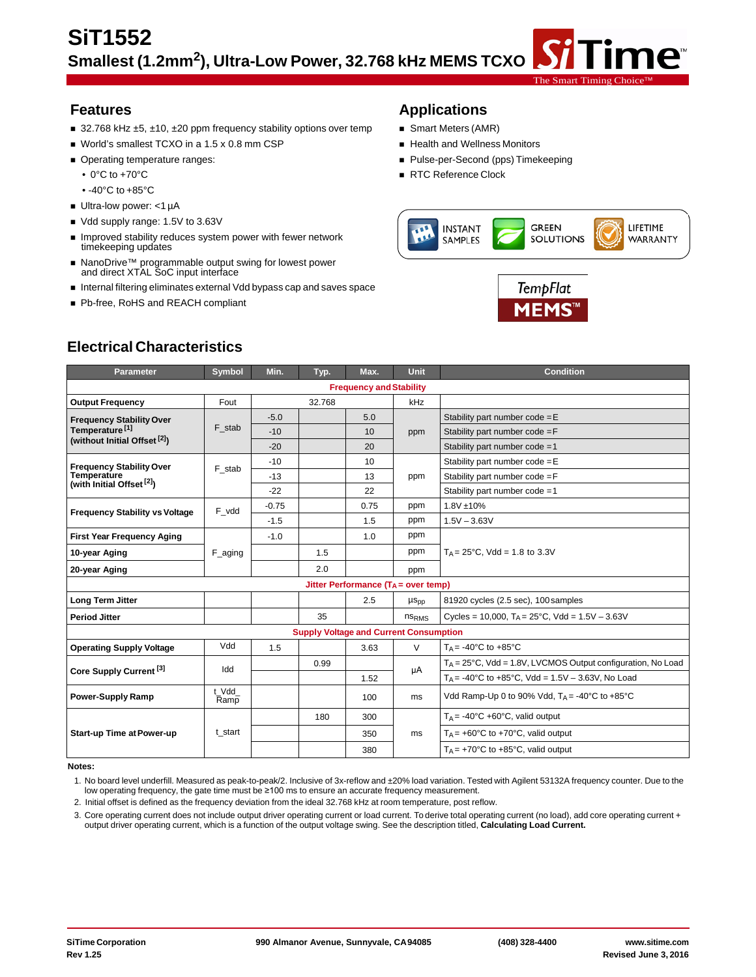- 32.768 kHz ±5, ±10, ±20 ppm frequency stability options over temp **S**mart Meters (AMR)
- World's smallest TCXO in a 1.5 x 0.8 mm CSP **No. 1998** Health and Wellness Monitors
- -
- -40°C to +85°C
- Ultra-low power: <1 µA
- Vdd supply range: 1.5V to 3.63V
- **IMPROVED STADE INCOCED SYSTEM POWER WITH FEWER NETWORK** timekeeping updates
- NanoDrive™ programmable output swing for lowest power and direct XTAL SoC input interface
- Internal filtering eliminates external Vdd bypass cap and saves space
- Pb-free, RoHS and REACH compliant

## **Features Applications**

- 
- 
- Operating temperature ranges: Pulse-per-Second (pps) Timekeeping
	- 0°C to +70°C **Reference** Clock



The Smart Timing

ne®



# **Electrical Characteristics**

| <b>Parameter</b>                                     | <b>Symbol</b>                           | Min.    | Typ.                                          | Max. | <b>Unit</b>       | <b>Condition</b>                                                       |  |
|------------------------------------------------------|-----------------------------------------|---------|-----------------------------------------------|------|-------------------|------------------------------------------------------------------------|--|
| <b>Frequency and Stability</b>                       |                                         |         |                                               |      |                   |                                                                        |  |
| <b>Output Frequency</b>                              | Fout                                    |         | 32.768                                        |      | kHz               |                                                                        |  |
| <b>Frequency Stability Over</b>                      |                                         | $-5.0$  |                                               | 5.0  |                   | Stability part number $code = E$                                       |  |
| Temperature <sup>[1]</sup>                           | F stab                                  | $-10$   |                                               | 10   | ppm               | Stability part number $code = F$                                       |  |
| (without Initial Offset <sup>[2]</sup> )             |                                         | $-20$   |                                               | 20   |                   | Stability part number code = 1                                         |  |
| <b>Frequency Stability Over</b>                      | F stab                                  | $-10$   |                                               | 10   |                   | Stability part number $code = E$                                       |  |
| Temperature<br>(with Initial Offset <sup>[2]</sup> ) |                                         | $-13$   |                                               | 13   | ppm               | Stability part number $code = F$                                       |  |
|                                                      |                                         | $-22$   |                                               | 22   |                   | Stability part number code = 1                                         |  |
| <b>Frequency Stability vs Voltage</b>                | F vdd                                   | $-0.75$ |                                               | 0.75 | ppm               | 1.8V ±10%                                                              |  |
|                                                      |                                         | $-1.5$  |                                               | 1.5  | ppm               | $1.5V - 3.63V$                                                         |  |
| <b>First Year Frequency Aging</b>                    |                                         | $-1.0$  |                                               | 1.0  | ppm               |                                                                        |  |
| 10-year Aging                                        | F_aging                                 |         | 1.5                                           |      | ppm               | $T_A = 25^{\circ}$ C, Vdd = 1.8 to 3.3V                                |  |
| 20-year Aging                                        |                                         |         | 2.0                                           |      | ppm               |                                                                        |  |
|                                                      | Jitter Performance ( $T_A$ = over temp) |         |                                               |      |                   |                                                                        |  |
| <b>Long Term Jitter</b>                              |                                         |         |                                               | 2.5  | $\mu s_{pp}$      | 81920 cycles (2.5 sec), 100 samples                                    |  |
| <b>Period Jitter</b>                                 |                                         |         | 35                                            |      | ns <sub>RMS</sub> | Cycles = 10,000, $T_A = 25^{\circ}$ C, Vdd = 1.5V - 3.63V              |  |
|                                                      |                                         |         | <b>Supply Voltage and Current Consumption</b> |      |                   |                                                                        |  |
| <b>Operating Supply Voltage</b>                      | Vdd                                     | 1.5     |                                               | 3.63 | $\vee$            | $T_A = -40$ °C to $+85$ °C                                             |  |
| Core Supply Current <sup>[3]</sup>                   | Idd                                     |         | 0.99                                          |      | μA                | $T_A = 25^{\circ}$ C, Vdd = 1.8V, LVCMOS Output configuration, No Load |  |
|                                                      |                                         |         |                                               | 1.52 |                   | $T_A = -40^{\circ}$ C to $+85^{\circ}$ C, Vdd = 1.5V - 3.63V, No Load  |  |
| <b>Power-Supply Ramp</b>                             | t Vdd<br>Ramp                           |         |                                               | 100  | ms                | Vdd Ramp-Up 0 to 90% Vdd, $T_A = -40^{\circ}$ C to $+85^{\circ}$ C     |  |
|                                                      | t_start                                 |         | 180                                           | 300  |                   | $T_A = -40^{\circ}C + 60^{\circ}C$ , valid output                      |  |
| <b>Start-up Time at Power-up</b>                     |                                         |         |                                               | 350  | ms                | $T_A$ = +60°C to +70°C, valid output                                   |  |
|                                                      |                                         |         |                                               | 380  |                   | $T_A$ = +70°C to +85°C, valid output                                   |  |

**Notes:**

1. No board level underfill. Measured as peak-to-peak/2. Inclusive of 3x-reflow and ±20% load variation. Tested with Agilent 53132A frequency counter. Due to the low operating frequency, the gate time must be ≥100 ms to ensure an accurate frequency measurement.

2. Initial offset is defined as the frequency deviation from the ideal 32.768 kHz at room temperature, post reflow.

3. Core operating current does not include output driver operating current or load current. To derive total operating current (no load), add core operating current + output driver operating current, which is a function of the output voltage swing. See the description titled, **Calculating Load Current.**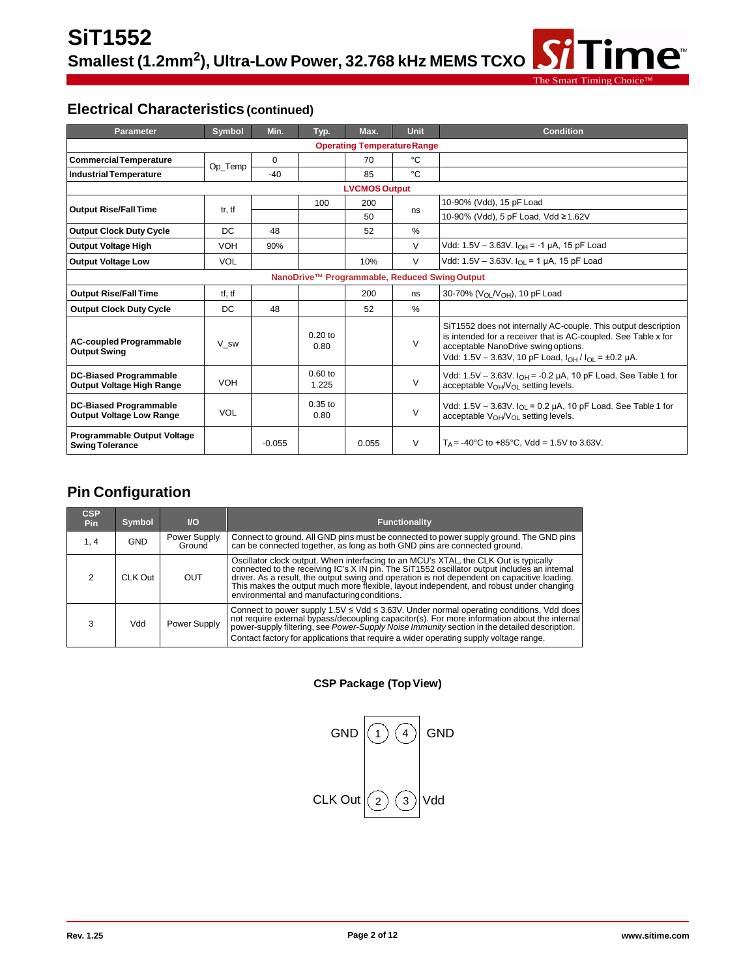# **Electrical Characteristics (continued)**

| <b>Parameter</b>                                                 | Symbol     | Min.     | Typ.               | Max.                 | <b>Unit</b>   | <b>Condition</b>                                                                                                                                                                                                                        |
|------------------------------------------------------------------|------------|----------|--------------------|----------------------|---------------|-----------------------------------------------------------------------------------------------------------------------------------------------------------------------------------------------------------------------------------------|
| <b>Operating Temperature Range</b>                               |            |          |                    |                      |               |                                                                                                                                                                                                                                         |
| <b>Commercial Temperature</b>                                    |            | $\Omega$ |                    | 70                   | °C            |                                                                                                                                                                                                                                         |
| <b>Industrial Temperature</b>                                    | Op_Temp    | $-40$    |                    | 85                   | °C            |                                                                                                                                                                                                                                         |
|                                                                  |            |          |                    | <b>LVCMOS Output</b> |               |                                                                                                                                                                                                                                         |
| <b>Output Rise/Fall Time</b>                                     | tr, tf     |          | 100                | 200                  | ns            | 10-90% (Vdd), 15 pF Load                                                                                                                                                                                                                |
|                                                                  |            |          |                    | 50                   |               | 10-90% (Vdd), 5 pF Load, Vdd ≥1.62V                                                                                                                                                                                                     |
| <b>Output Clock Duty Cycle</b>                                   | DC         | 48       |                    | 52                   | %             |                                                                                                                                                                                                                                         |
| <b>Output Voltage High</b>                                       | <b>VOH</b> | 90%      |                    |                      | V             | Vdd: 1.5V - 3.63V. $I_{OH} = -1$ µA, 15 pF Load                                                                                                                                                                                         |
| <b>Output Voltage Low</b>                                        | <b>VOL</b> |          |                    | 10%                  | V             | Vdd: 1.5V - 3.63V. $I_{\Omega I}$ = 1 µA, 15 pF Load                                                                                                                                                                                    |
| NanoDrive™ Programmable, Reduced Swing Output                    |            |          |                    |                      |               |                                                                                                                                                                                                                                         |
| <b>Output Rise/Fall Time</b>                                     | tf. tf     |          |                    | 200                  | ns            | 30-70% (V <sub>OL</sub> /V <sub>OH</sub> ), 10 pF Load                                                                                                                                                                                  |
| <b>Output Clock Duty Cycle</b>                                   | DC         | 48       |                    | 52                   | $\frac{0}{0}$ |                                                                                                                                                                                                                                         |
| <b>AC-coupled Programmable</b><br><b>Output Swing</b>            | V sw       |          | $0.20$ to<br>0.80  |                      | V             | SiT1552 does not internally AC-couple. This output description<br>is intended for a receiver that is AC-coupled. See Table x for<br>acceptable NanoDrive swing options.<br>Vdd: 1.5V - 3.63V, 10 pF Load, $I_{OH}/I_{O1} = \pm 0.2$ µA. |
| <b>DC-Biased Programmable</b><br>Output Voltage High Range       | <b>VOH</b> |          | $0.60$ to<br>1.225 |                      | V             | Vdd: 1.5V - 3.63V. $I_{OH}$ = -0.2 µA, 10 pF Load. See Table 1 for<br>acceptable $V_{\Omega H}$ / $V_{\Omega I}$ setting levels.                                                                                                        |
| <b>DC-Biased Programmable</b><br><b>Output Voltage Low Range</b> | <b>VOL</b> |          | $0.35$ to<br>0.80  |                      | V             | Vdd: 1.5V - 3.63V. $I_{OL}$ = 0.2 µA, 10 pF Load. See Table 1 for<br>acceptable V <sub>OH</sub> /V <sub>OL</sub> setting levels.                                                                                                        |
| <b>Programmable Output Voltage</b><br><b>Swing Tolerance</b>     |            | $-0.055$ |                    | 0.055                | $\vee$        | $T_A$ = -40°C to +85°C, Vdd = 1.5V to 3.63V.                                                                                                                                                                                            |

The Smart Timing C

ime<sup>®</sup>

# **Pin Configuration**

| <b>CSP</b><br><b>Pin</b> | <b>Symbol</b> | $\mathsf{I}/\mathsf{O}$ | <b>Functionality</b>                                                                                                                                                                                                                                                                                                                                                                                                          |
|--------------------------|---------------|-------------------------|-------------------------------------------------------------------------------------------------------------------------------------------------------------------------------------------------------------------------------------------------------------------------------------------------------------------------------------------------------------------------------------------------------------------------------|
| 1.4                      | <b>GND</b>    | Power Supply<br>Ground  | Connect to ground. All GND pins must be connected to power supply ground. The GND pins<br>can be connected together, as long as both GND pins are connected ground.                                                                                                                                                                                                                                                           |
|                          | CLK Out       | OUT                     | Oscillator clock output. When interfacing to an MCU's XTAL, the CLK Out is typically<br>connected to the receiving IC's X IN pin. The SiT1552 oscillator output includes an internal<br>driver. As a result, the output swing and operation is not dependent on capacitive loading.<br>This makes the output much more flexible, layout independent, and robust under changing<br>environmental and manufacturing conditions. |
|                          | Vdd           | Power Supply            | Connect to power supply $1.5V \leq Vdd \leq 3.63V$ . Under normal operating conditions, Vdd does<br>not require external bypass/decoupling capacitor(s). For more information about the internal power-supply filtering, see Power-Supply Noise Immunity section in the detailed description.<br>Contact factory for applications that require a wider operating supply voltage range.                                        |

**CSP Package (TopView)**

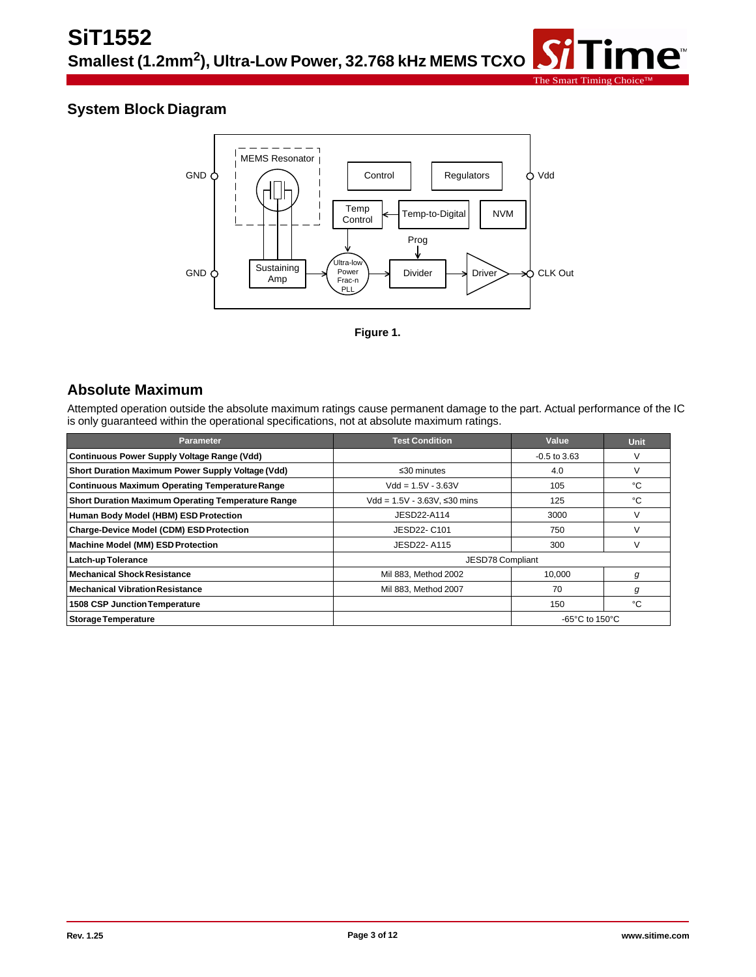



The Smart Timing C

ne<sup>®</sup>

**Figure 1.**

## **Absolute Maximum**

Attempted operation outside the absolute maximum ratings cause permanent damage to the part. Actual performance of the IC is only guaranteed within the operational specifications, not at absolute maximum ratings.

| <b>Parameter</b>                                          | <b>Test Condition</b>           | Value                                                | <b>Unit</b> |
|-----------------------------------------------------------|---------------------------------|------------------------------------------------------|-------------|
| <b>Continuous Power Supply Voltage Range (Vdd)</b>        |                                 | $-0.5$ to 3.63                                       |             |
| Short Duration Maximum Power Supply Voltage (Vdd)         | $\leq$ 30 minutes               | 4.0                                                  |             |
| <b>Continuous Maximum Operating Temperature Range</b>     | $Vdd = 1.5V - 3.63V$            | 105                                                  | °C          |
| <b>Short Duration Maximum Operating Temperature Range</b> | $Vdd = 1.5V - 3.63V$ , ≤30 mins | 125                                                  | °C          |
| Human Body Model (HBM) ESD Protection                     | JESD22-A114                     | 3000                                                 |             |
| <b>Charge-Device Model (CDM) ESD Protection</b>           | JESD22- C101                    | 750                                                  |             |
| <b>Machine Model (MM) ESD Protection</b>                  | JESD22-A115                     | 300                                                  |             |
| Latch-up Tolerance                                        | JESD78 Compliant                |                                                      |             |
| <b>Mechanical Shock Resistance</b>                        | Mil 883, Method 2002            | 10.000                                               | g           |
| <b>Mechanical Vibration Resistance</b>                    | Mil 883. Method 2007            | 70                                                   | g           |
| <b>1508 CSP Junction Temperature</b>                      |                                 | 150                                                  | °C          |
| <b>Storage Temperature</b>                                |                                 | -65 $\mathrm{^{\circ}C}$ to 150 $\mathrm{^{\circ}C}$ |             |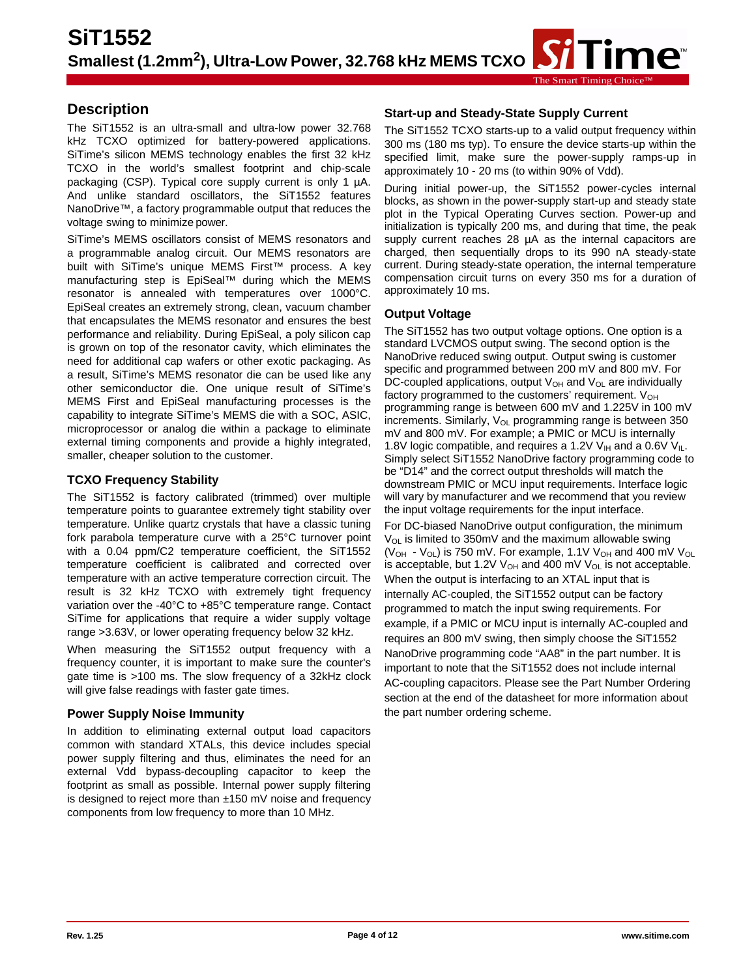#### The Smart Timing Choice™

# **Description**

The SiT1552 is an ultra-small and ultra-low power 32.768 kHz TCXO optimized for battery-powered applications. SiTime's silicon MEMS technology enables the first 32 kHz TCXO in the world's smallest footprint and chip-scale packaging (CSP). Typical core supply current is only 1 µA. And unlike standard oscillators, the SiT1552 features NanoDrive™, a factory programmable output that reduces the voltage swing to minimize power.

SiTime's MEMS oscillators consist of MEMS resonators and a programmable analog circuit. Our MEMS resonators are built with SiTime's unique MEMS First™ process. A key manufacturing step is EpiSeal™ during which the MEMS resonator is annealed with temperatures over 1000°C. EpiSeal creates an extremely strong, clean, vacuum chamber that encapsulates the MEMS resonator and ensures the best performance and reliability. During EpiSeal, a poly silicon cap is grown on top of the resonator cavity, which eliminates the need for additional cap wafers or other exotic packaging. As a result, SiTime's MEMS resonator die can be used like any other semiconductor die. One unique result of SiTime's MEMS First and EpiSeal manufacturing processes is the capability to integrate SiTime's MEMS die with a SOC, ASIC, microprocessor or analog die within a package to eliminate external timing components and provide a highly integrated, smaller, cheaper solution to the customer.

## **TCXO Frequency Stability**

The SiT1552 is factory calibrated (trimmed) over multiple temperature points to guarantee extremely tight stability over temperature. Unlike quartz crystals that have a classic tuning fork parabola temperature curve with a 25°C turnover point with a 0.04 ppm/C2 temperature coefficient, the SiT1552 temperature coefficient is calibrated and corrected over temperature with an active temperature correction circuit. The result is 32 kHz TCXO with extremely tight frequency variation over the -40°C to +85°C temperature range. Contact SiTime for applications that require a wider supply voltage range >3.63V, or lower operating frequency below 32 kHz.

When measuring the SiT1552 output frequency with a frequency counter, it is important to make sure the counter's gate time is >100 ms. The slow frequency of a 32kHz clock will give false readings with faster gate times.

## **Power Supply Noise Immunity**

In addition to eliminating external output load capacitors common with standard XTALs, this device includes special power supply filtering and thus, eliminates the need for an external Vdd bypass-decoupling capacitor to keep the footprint as small as possible. Internal power supply filtering is designed to reject more than ±150 mV noise and frequency components from low frequency to more than 10 MHz.

## **Start-up and Steady-State Supply Current**

The SiT1552 TCXO starts-up to a valid output frequency within 300 ms (180 ms typ). To ensure the device starts-up within the specified limit, make sure the power-supply ramps-up in approximately 10 - 20 ms (to within 90% of Vdd).

During initial power-up, the SiT1552 power-cycles internal blocks, as shown in the power-supply start-up and steady state plot in the Typical Operating Curves section. Power-up and initialization is typically 200 ms, and during that time, the peak supply current reaches 28  $\mu$ A as the internal capacitors are charged, then sequentially drops to its 990 nA steady-state current. During steady-state operation, the internal temperature compensation circuit turns on every 350 ms for a duration of approximately 10 ms.

## **Output Voltage**

The SiT1552 has two output voltage options. One option is a standard LVCMOS output swing. The second option is the NanoDrive reduced swing output. Output swing is customer specific and programmed between 200 mV and 800 mV. For DC-coupled applications, output  $V_{OH}$  and  $V_{OL}$  are individually factory programmed to the customers' requirement.  $V_{OH}$ programming range is between 600 mV and 1.225V in 100 mV increments. Similarly,  $V_{OL}$  programming range is between 350 mV and 800 mV. For example; a PMIC or MCU is internally 1.8V logic compatible, and requires a 1.2V  $V_{\text{H}}$  and a 0.6V  $V_{\text{H}}$ . Simply select SiT1552 NanoDrive factory programming code to be "D14" and the correct output thresholds will match the downstream PMIC or MCU input requirements. Interface logic will vary by manufacturer and we recommend that you review the input voltage requirements for the input interface.

For DC-biased NanoDrive output configuration, the minimum  $V_{OL}$  is limited to 350mV and the maximum allowable swing ( $V_{OH}$  -  $V_{OL}$ ) is 750 mV. For example, 1.1V  $V_{OH}$  and 400 mV  $V_{OL}$ is acceptable, but 1.2V  $V_{OH}$  and 400 mV  $V_{OL}$  is not acceptable. When the output is interfacing to an XTAL input that is internally AC-coupled, the SiT1552 output can be factory programmed to match the input swing requirements. For example, if a PMIC or MCU input is internally AC-coupled and requires an 800 mV swing, then simply choose the SiT1552 NanoDrive programming code "AA8" in the part number. It is important to note that the SiT1552 does not include internal AC-coupling capacitors. Please see the Part Number Ordering section at the end of the datasheet for more information about the part number ordering scheme.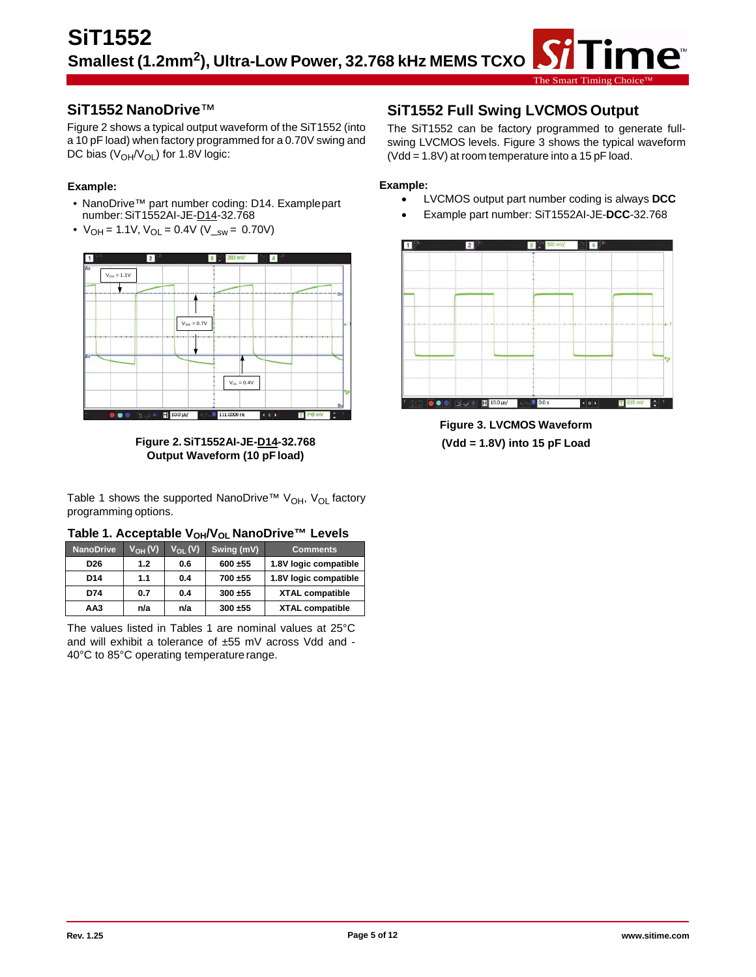The Smart Timing

## **SiT1552 NanoDrive**™

Figure 2 shows a typical output waveform of the SiT1552 (into a 10 pF load) when factory programmed for a 0.70V swing and DC bias  $(V_{OH}/V_{OL})$  for 1.8V logic:

### **Example:**

- NanoDrive™ part number coding: D14. Examplepart number: SiT1552AI-JE-D14-32.768
- $V_{OH} = 1.1V$ ,  $V_{OL} = 0.4V$  ( $V_{sw} = 0.70V$ )



**Figure 2.SiT1552AI-JE-D14-32.768 Output Waveform (10 pFload)**

Table 1 shows the supported NanoDrive™ V<sub>OH</sub>, V<sub>OL</sub> factory programming options.

| Table 1. Acceptable V <sub>OH</sub> /V <sub>OL</sub> NanoDrive™ Levels |  |  |  |
|------------------------------------------------------------------------|--|--|--|
|------------------------------------------------------------------------|--|--|--|

| <b>NanoDrive</b> | V <sub>он</sub> (V) | $V_{OL} (V)$ | Swing (mV) | <b>Comments</b>        |
|------------------|---------------------|--------------|------------|------------------------|
| D <sub>26</sub>  | 1.2                 | 0.6          | 600 ±55    | 1.8V logic compatible  |
| D <sub>14</sub>  | 1.1                 | 0.4          | 700 ±55    | 1.8V logic compatible  |
| D74              | 0.7                 | 0.4          | 300 ±55    | <b>XTAL compatible</b> |
| AA3              | n/a                 | n/a          | 300 ±55    | <b>XTAL compatible</b> |

The values listed in Tables 1 are nominal values at 25°C and will exhibit a tolerance of ±55 mV across Vdd and - 40°C to 85°C operating temperature range.

## **SiT1552 Full Swing LVCMOS Output**

The SiT1552 can be factory programmed to generate fullswing LVCMOS levels. Figure 3 shows the typical waveform (Vdd = 1.8V) at room temperature into a 15 pF load.

#### **Example:**

- LVCMOS output part number coding is always **DCC**
- Example part number: SiT1552AI-JE-**DCC**-32.768



**Figure 3. LVCMOS Waveform (Vdd = 1.8V) into 15 pF Load**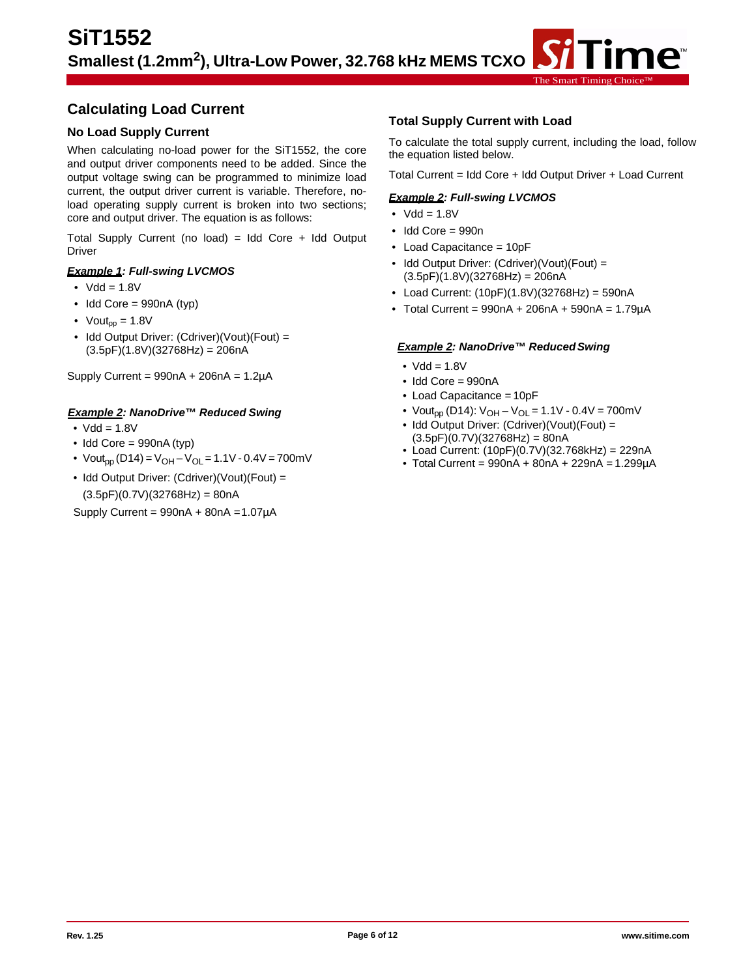## **Calculating Load Current**

#### **No Load Supply Current**

When calculating no-load power for the SiT1552, the core and output driver components need to be added. Since the output voltage swing can be programmed to minimize load current, the output driver current is variable. Therefore, noload operating supply current is broken into two sections; core and output driver. The equation is as follows:

Total Supply Current (no load) = Idd Core + Idd Output Driver

#### *Example 1: Full-swing LVCMOS*

- $Vdd = 1.8V$
- $\bullet$  Idd Core = 990nA (typ)
- Vout<sub>pp</sub> =  $1.8V$
- Idd Output Driver: (Cdriver)(Vout)(Fout) =  $(3.5pF)(1.8V)(32768Hz) = 206nA$

Supply Current =  $990nA + 206nA = 1.2\mu A$ 

#### *Example 2: NanoDrive™ Reduced Swing*

- $Vdd = 1.8V$
- $\bullet$  Idd Core = 990nA (typ)
- Vout<sub>pp</sub> (D14) = V<sub>OH</sub> V<sub>OL</sub> = 1.1V 0.4V = 700mV
- Idd Output Driver: (Cdriver)(Vout)(Fout) =  $(3.5pF)(0.7V)(32768Hz) = 80nA$

Supply Current =  $990nA + 80nA = 1.07\mu A$ 

#### **Total Supply Current with Load**

To calculate the total supply current, including the load, follow the equation listed below.

The Smart Timing Choice™

Total Current = Idd Core + Idd Output Driver + Load Current

#### *Example 2: Full-swing LVCMOS*

- $Vdd = 1.8V$
- Idd Core = 990n
- Load Capacitance = 10pF
- Idd Output Driver: (Cdriver)(Vout)(Fout) =  $(3.5pF)(1.8V)(32768Hz) = 206nA$
- Load Current: (10pF)(1.8V)(32768Hz) = 590nA
- Total Current =  $990nA + 206nA + 590nA = 1.79\mu A$

#### *Example 2: NanoDrive™ ReducedSwing*

- $Vdd = 1.8V$
- Idd Core = 990nA
- Load Capacitance = 10pF
- Vout<sub>pp</sub> (D14):  $V_{OH} V_{OL} = 1.1V 0.4V = 700mV$
- Idd Output Driver: (Cdriver)(Vout)(Fout) =  $(3.5pF)(0.7V)(32768Hz) = 80nA$
- Load Current: (10pF)(0.7V)(32.768kHz) = 229nA
- $\bullet$  Total Current = 990nA + 80nA + 229nA = 1.299µA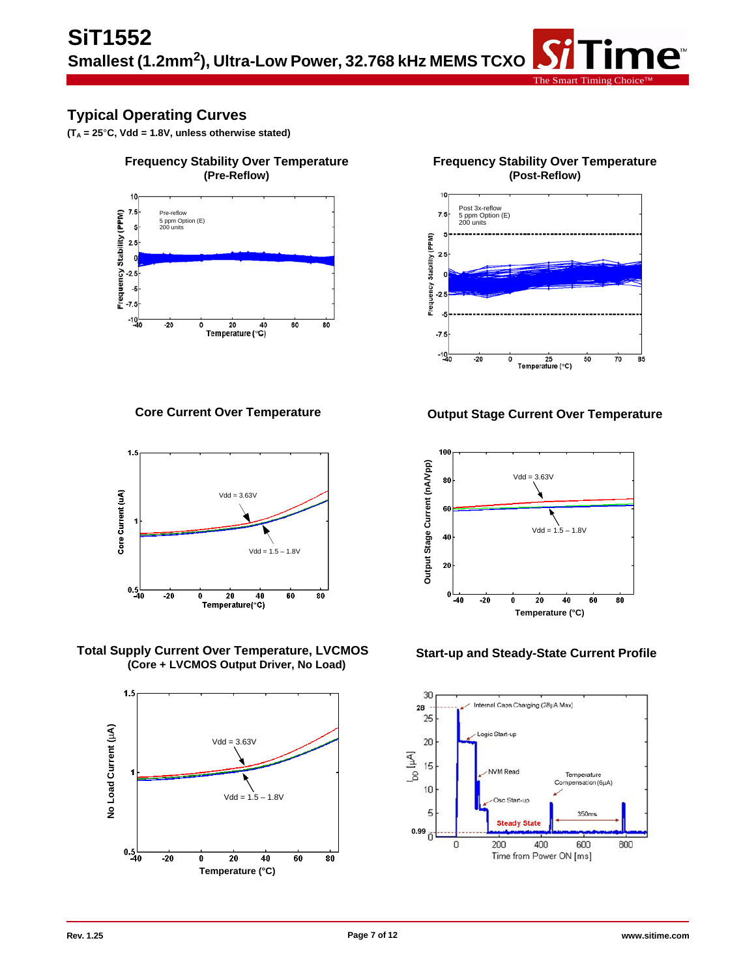# **Typical Operating Curves**

**(TA = 25**°**C, Vdd = 1.8V, unless otherwise stated)**



**Core Current Over Temperature**



**Total Supply Current Over Temperature, LVCMOS (Core + LVCMOS Output Driver, No Load)**





The Smart Timing





#### **Start-up and Steady-State Current Profile**

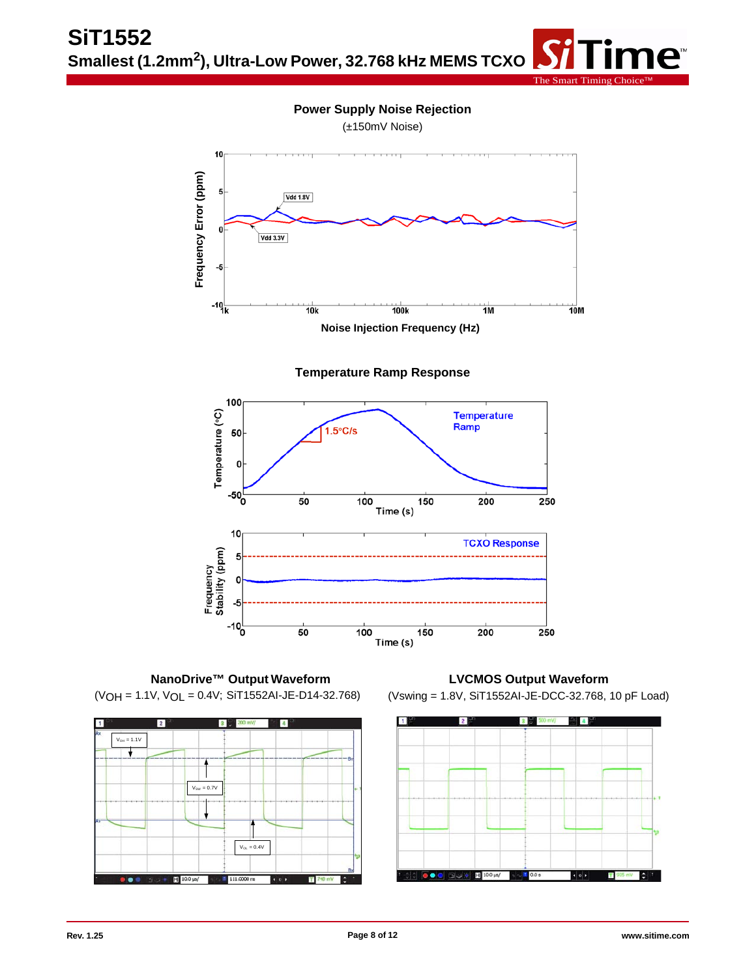



**Temperature Ramp Response**



**NanoDrive™ Output Waveform** (VOH = 1.1V, VOL = 0.4V; SiT1552AI-JE-D14-32.768)



**LVCMOS Output Waveform**  (Vswing = 1.8V, SiT1552AI-JE-DCC-32.768, 10 pF Load)

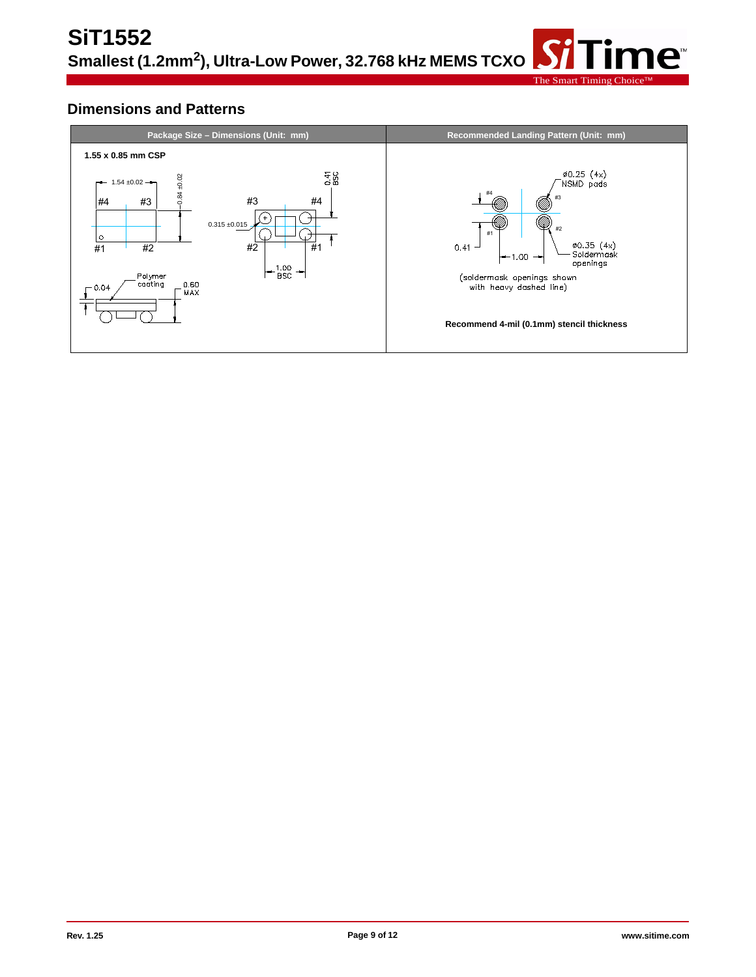## **Dimensions and Patterns**

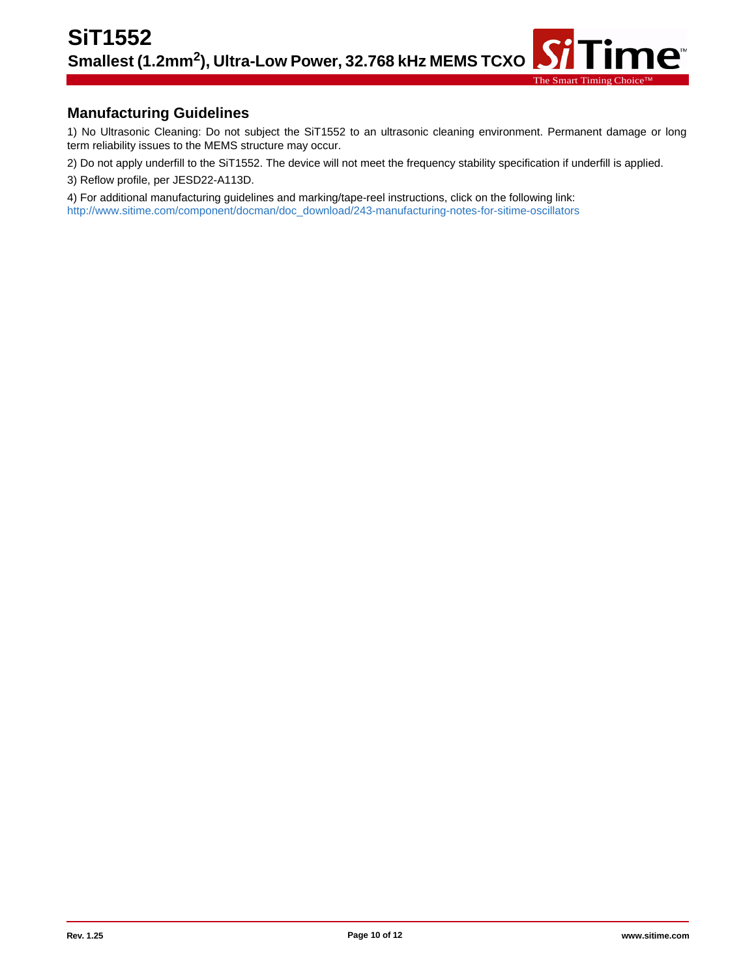## **Manufacturing Guidelines**

1) No Ultrasonic Cleaning: Do not subject the SiT1552 to an ultrasonic cleaning environment. Permanent damage or long term reliability issues to the MEMS structure may occur.

The Smart Timing

ne<sup>®</sup>

2) Do not apply underfill to the SiT1552. The device will not meet the frequency stability specification if underfill is applied.

3) Reflow profile, per JESD22-A113D.

4) For additional manufacturing guidelines and marking/tape-reel instructions, click on the following link: [http://w](http://www.sitime.com/component/docman/doc_download/243-manufacturing-notes-for-sitime-oscillators)ww.sitime.com/component/docman/doc\_download/243-manufacturing-notes-for-sitime-oscillators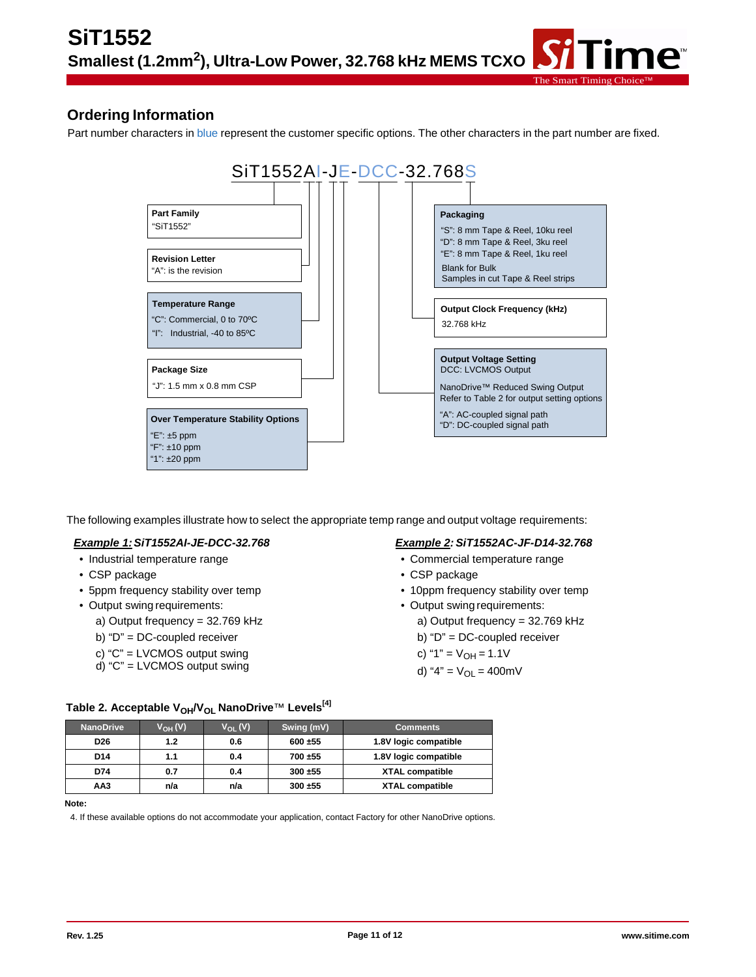## **Ordering Information**

Part number characters in blue represent the customer specific options. The other characters in the part number are fixed.



The following examples illustrate how to select the appropriate temp range and output voltage requirements:

#### *Example 1:SiT1552AI-JE-DCC-32.768*

- Industrial temperature range
- CSP package
- 5ppm frequency stability over temp
- Output swing requirements:
	- a) Output frequency = 32.769 kHz
	- b) "D" = DC-coupled receiver
	- c) "C" = LVCMOS output swing
	- d) "C" = LVCMOS output swing

#### *Example 2:SiT1552AC-JF-D14-32.768*

The Smart Timing Choice™

- Commercial temperature range
- CSP package
- 10ppm frequency stability over temp
- Output swing requirements:
	- a) Output frequency = 32.769 kHz
	- b) "D" = DC-coupled receiver
	- c) "1" =  $V_{OH}$  = 1.1V
	- d) "4" =  $V_{OL}$  = 400mV

| <b>NanoDrive</b> | $V_{OH} (V)$ | $V_{OL}(V)$ | Swing (mV) | <b>Comments</b>        |
|------------------|--------------|-------------|------------|------------------------|
| D <sub>26</sub>  | 1.2          | 0.6         | 600 ±55    | 1.8V logic compatible  |
| D <sub>14</sub>  | 1.1          | 0.4         | 700 ±55    | 1.8V logic compatible  |
| D74              | 0.7          | 0.4         | 300 ±55    | <b>XTAL compatible</b> |
| AA3              | n/a          | n/a         | 300 ±55    | <b>XTAL compatible</b> |

Table 2. Acceptable V<sub>OH</sub>/V<sub>OL</sub> NanoDrive™ Levels<sup>[4]</sup>

**Note:**

4. If these available options do not accommodate your application, contact Factory for other NanoDrive options.